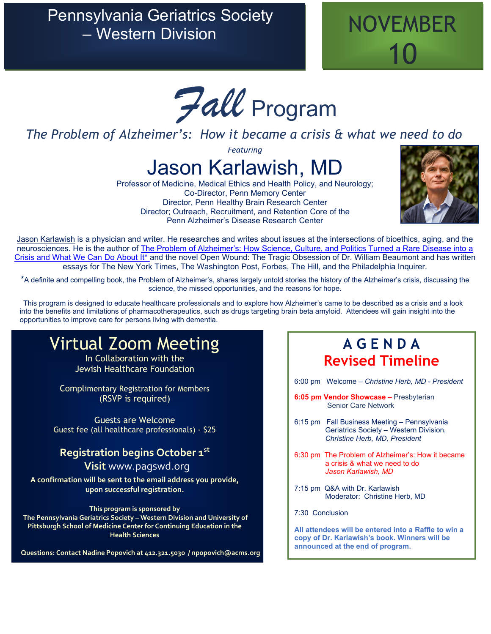## Pennsylvania Geriatrics Society Sylvania Genatics Society<br>
– Western Division



*Fall* Program

### *The Problem of Alzheimer's: How it became a crisis & what we need to do*

*Featuring*

# Jason Karlawish, MD

Professor of Medicine, Medical Ethics and Health Policy, and Neurology; Co-Director, Penn Memory Center Director, Penn Healthy Brain Research Center Director; Outreach, Recruitment, and Retention Core of the Penn Alzheimer's Disease Research Center



[Jason Karlawish](https://www.jasonkarlawish.com/) is a physician and writer. He researches and writes about issues at the intersections of bioethics, aging, and the neurosciences. He is the author of [The Problem of Alzheimer's: How Science, Culture, and Politics Turned a Rare Disease into a](https://us.macmillan.com/books/9781250218742)  [Crisis and What We Can Do About It\\*](https://us.macmillan.com/books/9781250218742) and the novel Open Wound: The Tragic Obsession of Dr. William Beaumont and has written essays for The New York Times, The Washington Post, Forbes, The Hill, and the Philadelphia Inquirer.

\*A definite and compelling book, the Problem of Alzheimer's, shares largely untold stories the history of the Alzheimer's crisis, discussing the science, the missed opportunities, and the reasons for hope.

This program is designed to educate healthcare professionals and to explore how Alzheimer's came to be described as a crisis and a look into the benefits and limitations of pharmacotherapeutics, such as drugs targeting brain beta amyloid. Attendees will gain insight into the opportunities to improve care for persons living with dementia.

# Virtual Zoom Meeting

In Collaboration with the Jewish Healthcare Foundation

Complimentary Registration for Members (RSVP is required)

Guests are Welcome Guest fee (all healthcare professionals) - \$25

### **Registration begins October 1st**

 **Visit** [www.pagswd.org](http://www.pagswd.org/)

**A confirmation will be sent to the email address you provide, upon successful registration.** 

**This program is sponsored by The Pennsylvania Geriatrics Society – Western Division and University of Pittsburgh School of Medicine Center for Continuing Education in the Health Sciences**

**Questions: Contact Nadine Popovich at 412.321.5030 / npopovich@acms.org** 

## **A G E N D A Revised Timeline**

6:00 pm Welcome – *Christine Herb, MD - President* 

- **6:05 pm Vendor Showcase –** Presbyterian Senior Care Network
- 6:15 pm Fall Business Meeting Pennsylvania Geriatrics Society – Western Division, *Christine Herb, MD, President*
- 6:30 pm The Problem of Alzheimer's: How it became a crisis & what we need to do *Jason Karlawish, MD*
- 7:15 pm Q&A with Dr. Karlawish Moderator: Christine Herb, MD

7:30 Conclusion

**All attendees will be entered into a Raffle to win a copy of Dr. Karlawish's book. Winners will be announced at the end of program.**